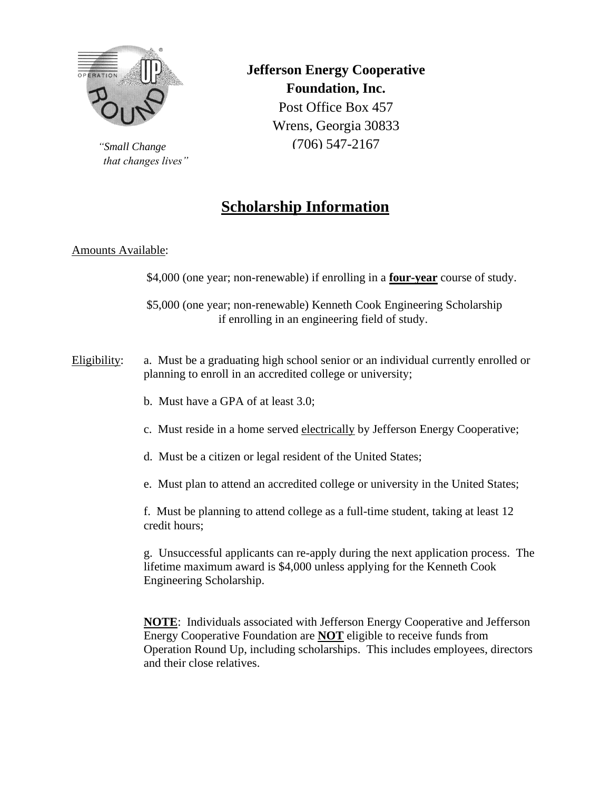

*"Small Change that changes lives"* **Jefferson Energy Cooperative Foundation, Inc.** Post Office Box 457 Wrens, Georgia 30833 (706) 547-2167

# **Scholarship Information**

# Amounts Available:

\$4,000 (one year; non-renewable) if enrolling in a **four-year** course of study.

\$5,000 (one year; non-renewable) Kenneth Cook Engineering Scholarship if enrolling in an engineering field of study.

- Eligibility: a. Must be a graduating high school senior or an individual currently enrolled or planning to enroll in an accredited college or university;
	- b. Must have a GPA of at least 3.0;
	- c. Must reside in a home served electrically by Jefferson Energy Cooperative;
	- d. Must be a citizen or legal resident of the United States;
	- e. Must plan to attend an accredited college or university in the United States;

f. Must be planning to attend college as a full-time student, taking at least 12 credit hours;

g. Unsuccessful applicants can re-apply during the next application process. The lifetime maximum award is \$4,000 unless applying for the Kenneth Cook Engineering Scholarship.

**NOTE**: Individuals associated with Jefferson Energy Cooperative and Jefferson Energy Cooperative Foundation are **NOT** eligible to receive funds from Operation Round Up, including scholarships. This includes employees, directors and their close relatives.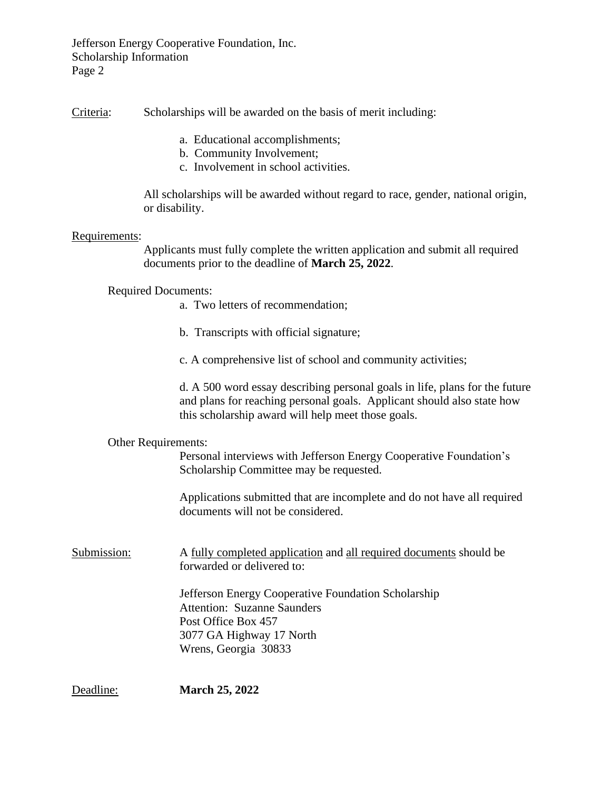Jefferson Energy Cooperative Foundation, Inc. Scholarship Information Page 2

Criteria: Scholarships will be awarded on the basis of merit including:

- a. Educational accomplishments;
- b. Community Involvement;
- c. Involvement in school activities.

All scholarships will be awarded without regard to race, gender, national origin, or disability.

### Requirements:

Applicants must fully complete the written application and submit all required documents prior to the deadline of **March 25, 2022**.

## Required Documents:

- a. Two letters of recommendation;
- b. Transcripts with official signature;
- c. A comprehensive list of school and community activities;

d. A 500 word essay describing personal goals in life, plans for the future and plans for reaching personal goals. Applicant should also state how this scholarship award will help meet those goals.

### Other Requirements:

Personal interviews with Jefferson Energy Cooperative Foundation's Scholarship Committee may be requested.

Applications submitted that are incomplete and do not have all required documents will not be considered.

Submission: A fully completed application and all required documents should be forwarded or delivered to:

> Jefferson Energy Cooperative Foundation Scholarship Attention: Suzanne Saunders Post Office Box 457 3077 GA Highway 17 North Wrens, Georgia 30833

Deadline: **March 25, 2022**